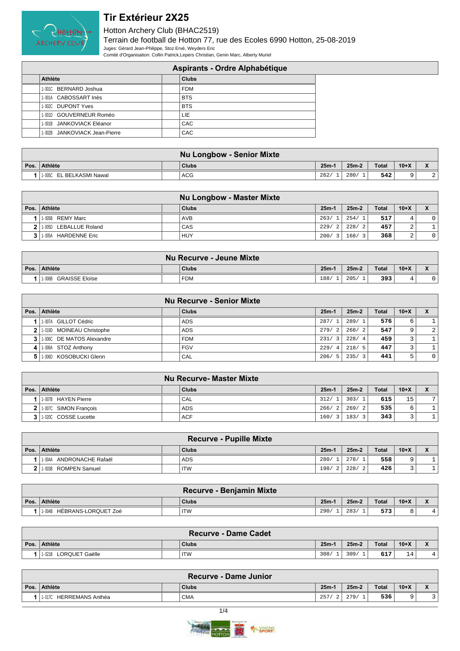

|                               | Aspirants - Ordre Alphabétique |
|-------------------------------|--------------------------------|
| Athlète                       | <b>Clubs</b>                   |
| 1-001C BERNARD Joshua         | <b>FDM</b>                     |
| 1-001A CABOSSART Inès         | <b>BTS</b>                     |
| 1-002C DUPONT Yves            | <b>BTS</b>                     |
| 1-001D GOUVERNEUR Roméo       | LIE.                           |
| 1-001B JANKOVIACK Eléanor     | CAC                            |
| 1-002B JANKOVIACK Jean-Pierre | CAC                            |
|                               |                                |

|                                       | <b>Nu Longbow - Senior Mixte</b> |         |         |              |        |             |
|---------------------------------------|----------------------------------|---------|---------|--------------|--------|-------------|
| Pos. Athlète                          | Clubs                            | $25m-1$ | $25m-2$ | <b>Total</b> | $10+X$ |             |
| <sup>1</sup> 1-005C EL BELKASMI Nawal | <b>ACG</b>                       | 262/    | 280/    | 542          |        | $\cap$<br>▵ |

|                          | <b>Nu Longbow - Master Mixte</b> |         |         |              |             |  |
|--------------------------|----------------------------------|---------|---------|--------------|-------------|--|
| Pos. Athlète             | Clubs                            | $25m-1$ | $25m-2$ | <b>Total</b> | $10+X$      |  |
| 1-005B REMY Marc         | <b>AVB</b>                       | 263/    | 254/1   | 517          |             |  |
| 2 1.005D LEBALLUE Roland | CAS                              | 229/    | 228/2   | 457          | $\sim$<br>∠ |  |
| 1-005A HARDENNE Eric     | HUY                              | 200/3   | 168/3   | 368          | C<br>∠      |  |

|      |                                 | Nu Recurve - Jeune Mixte |        |         |              |        |  |
|------|---------------------------------|--------------------------|--------|---------|--------------|--------|--|
| Pos. | ∣ Athlète                       | <b>Clubs</b>             | $25m-$ | $25m-2$ | <b>Total</b> | $10+X$ |  |
|      | <b>GRAISSE Eloïse</b><br>1-006B | FDM                      | 188    | 205     | 393          |        |  |

|                |                               | <b>Nu Recurve - Senior Mixte</b> |                        |         |       |        |   |
|----------------|-------------------------------|----------------------------------|------------------------|---------|-------|--------|---|
| Pos.           | Athlète                       | <b>Clubs</b>                     | $25m-1$                | $25m-2$ | Total | $10+X$ |   |
|                | 1-007A GILLOT Cédric          | ADS.                             | 287/                   | 289/1   | 576   | 6      |   |
| 2 <sup>1</sup> | 1-019D MOINEAU Christophe     | <b>ADS</b>                       | 279/<br>2              | 268/2   | 547   | 9      | 2 |
|                | 3 1 1.0060 DE MATOS Alexandre | <b>FDM</b>                       | 231/<br>$\overline{3}$ | 228/4   | 459   | 2      |   |
| 4              | 1-006A STOZ Anthony           | <b>FGV</b>                       | 229/<br>4              | 218/5   | 447   | 2      |   |
|                | 1-006D KOSOBUCKI Glenn        | CAL                              | 206/<br>- 5            | 235/3   | 441   | 5      |   |

|   |                       | Nu Recurve- Master Mixte |         |         |              |        |              |
|---|-----------------------|--------------------------|---------|---------|--------------|--------|--------------|
|   | Pos. Athlète          | Clubs                    | $25m-1$ | $25m-2$ | <b>Total</b> | $10+X$ | $\mathbf{v}$ |
|   | 1-007B HAYEN Pierre   | CAL                      | 312/    | 303/    | 615          | 15     | 7            |
|   | 1-007C SIMON Francois | <b>ADS</b>               | 266/2   | 269/2   | 535          | 6      |              |
| 3 | 1-020C COSSE Lucette  | <b>ACF</b>               | 160/3   | 183/3   | 343          |        |              |

| <b>Recurve - Pupille Mixte</b> |  |              |         |         |              |        |                                                |  |  |  |
|--------------------------------|--|--------------|---------|---------|--------------|--------|------------------------------------------------|--|--|--|
| Pos. Athlète                   |  | <b>Clubs</b> | $25m-1$ | $25m-2$ | <b>Total</b> | $10+X$ | $\overline{\phantom{a}}$<br>$\mathbf{\Lambda}$ |  |  |  |
| ANDRONACHE Rafaël<br>1-004A    |  | ADS          | 280/    | 278/    | 558          | Q      |                                                |  |  |  |
| 1-003B ROMPEN Samuel           |  | <b>ITW</b>   | 198/    | 228/    | 426          |        |                                                |  |  |  |

|      |                               | <b>Recurve - Benjamin Mixte</b> |        |         |       |        |  |
|------|-------------------------------|---------------------------------|--------|---------|-------|--------|--|
| Pos. | Athlète                       | <b>Clubs</b>                    | $25m-$ | $25m-2$ | Total | $10+X$ |  |
|      | HÉBRANS-LORQUET Zoé<br>1-004B | <b>ITW</b>                      | 290    | 283/    | 573   |        |  |

| <b>Recurve - Dame Cadet</b> |  |            |         |         |              |                 |                |  |  |  |
|-----------------------------|--|------------|---------|---------|--------------|-----------------|----------------|--|--|--|
| Pos. Athlète                |  | Clubs      | $25m-1$ | $25m-2$ | <b>Total</b> | $10+X$          |                |  |  |  |
| 1-021B LORQUET Gaëlle       |  | <b>ITW</b> | 308/    | 309/    | 617          | 14<br><b>__</b> | 4 <sub>1</sub> |  |  |  |

|      | <b>Recurve - Dame Junior</b> |  |              |         |       |              |        |              |  |  |
|------|------------------------------|--|--------------|---------|-------|--------------|--------|--------------|--|--|
| Pos. | Athlète                      |  | <b>Clubs</b> | $25m-1$ | 25m-2 | <b>Total</b> | $10+X$ | $\mathbf{v}$ |  |  |
|      | HERREMANS Anthéa<br>1-017C   |  | <b>CMA</b>   | 257     | 279/  | 536          | ∼      |              |  |  |
|      |                              |  |              |         |       |              |        |              |  |  |

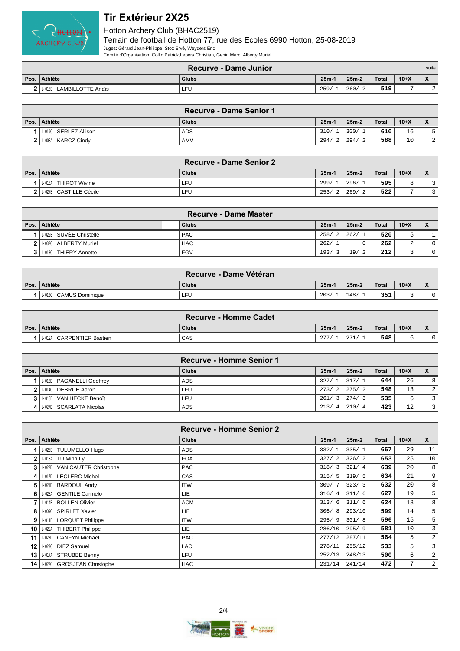

|      | <b>Recurve - Dame Junior</b><br>suite |  |              |         |       |       |        |              |  |
|------|---------------------------------------|--|--------------|---------|-------|-------|--------|--------------|--|
| Pos. | <b>Athlète</b>                        |  | <b>Clubs</b> | $25m-1$ | 25m-2 | Total | $10+X$ | $\mathbf{v}$ |  |
|      | <b>LAMBILLOTTE Anaïs</b><br>1-015B    |  | LFU          | 259     | 260/  | 519   |        | ▵            |  |

|                       | <b>Recurve - Dame Senior 1</b> |         |         |              |        |    |
|-----------------------|--------------------------------|---------|---------|--------------|--------|----|
| Pos. Athlète          | Clubs                          | $25m-1$ | $25m-2$ | <b>Total</b> | $10+X$ |    |
| 1-019C SERLEZ Allison | ADS.                           | 310/    | 300/1   | 610          | 16     |    |
| 2 1.008A KARCZ Cindy  | AMV                            | 294/    | 294/2   | 588          | 10     | 21 |

|                                | <b>Recurve - Dame Senior 2</b> |           |             |              |                |  |
|--------------------------------|--------------------------------|-----------|-------------|--------------|----------------|--|
| Pos.   Athlète                 | <b>Clubs</b>                   | $25m -$   | $25m-2$     | <b>Total</b> | $10+X$         |  |
| <b>THIROT Wivine</b><br>1-016A | LFU                            | 299/      | 296/        | 595          | 8              |  |
| 2   1.027B CASTILLE Cécile     | ∟FU                            | 253/<br>2 | 269/<br>- 2 | 522          | $\overline{ }$ |  |

|                         | <b>Recurve - Dame Master</b> |         |           |       |                          |              |
|-------------------------|------------------------------|---------|-----------|-------|--------------------------|--------------|
| Pos.   Athlète          | <b>Clubs</b>                 | $25m-1$ | $25m-2$   | Total | $10+X$                   | $\mathbf{v}$ |
| 1-022B SUVÉE Christelle | <b>PAC</b>                   | 258/    | 262/1     | 520   | כ                        |              |
| 2 1.032C ALBERTY Muriel | <b>HAC</b>                   | 262/1   |           | 262   | $\sim$                   |              |
| 1-013C THIERY Annette   | <b>FGV</b>                   | 193/    | 19/<br>-2 | 212   | $\overline{\phantom{0}}$ | $\circ$      |

| <b>Recurve - Dame Vétéran</b>    |       |         |         |              |        |                          |  |  |  |
|----------------------------------|-------|---------|---------|--------------|--------|--------------------------|--|--|--|
| Pos. Athlète                     | Clubs | $25m-1$ | $25m-2$ | <b>Total</b> | $10+X$ | $\overline{\phantom{a}}$ |  |  |  |
| <b>CAMUS Dominique</b><br>1-016C | LFU   | 203/    | 148'    | 351          |        |                          |  |  |  |

| <b>Recurve - Homme Cadet</b>        |  |              |         |         |              |        |  |  |  |  |
|-------------------------------------|--|--------------|---------|---------|--------------|--------|--|--|--|--|
| Pos.   Athlète                      |  | <b>Clubs</b> | $25m-1$ | $25m-2$ | <b>Total</b> | $10+X$ |  |  |  |  |
| <b>CARPENTIER Bastien</b><br>1-012A |  | CAS          | 277     | 0.71    | 548          |        |  |  |  |  |

|                |                           | <b>Recurve - Homme Senior 1</b> |         |         |              |        |                         |
|----------------|---------------------------|---------------------------------|---------|---------|--------------|--------|-------------------------|
| Pos. $\vert$   | ∣ Athlète                 | Clubs                           | $25m-1$ | $25m-2$ | <b>Total</b> | $10+X$ | $\mathbf v$             |
|                | 1-018D PAGANELLI Geoffrey | <b>ADS</b>                      | 327/1   | 317/1   | 644          | 26     | 8                       |
| 2 <sup>1</sup> | 1.0140 DEBRUE Aaron       | LFU                             | 273/2   | 275/2   | 548          | 13     | $\overline{2}$          |
| 31             | 11-018B VAN HECKE Benoît  | LFU.                            | 261/3   | 274/3   | 535          | 6      | $\overline{3}$          |
| 4              | 1-027D SCARLATA Nicolas   | <b>ADS</b>                      | 213/4   | 210/4   | 423          | 12     | $\overline{\mathbf{3}}$ |

|              |                                 | <b>Recurve - Homme Senior 2</b> |         |         |       |        |                 |
|--------------|---------------------------------|---------------------------------|---------|---------|-------|--------|-----------------|
| Pos.         | <b>Athlète</b>                  | <b>Clubs</b>                    | $25m-1$ | $25m-2$ | Total | $10+X$ | $\mathsf{x}$    |
|              | <b>TULUMELLO Hugo</b><br>1-026B | <b>ADS</b>                      | 332/1   | 335/1   | 667   | 29     | 11              |
| $\mathbf{2}$ | 1-018A TU Minh Ly               | <b>FOA</b>                      | 327/2   | 326/2   | 653   | 25     | 10 <sup>1</sup> |
| 3            | 1-022D VAN CAUTER Christophe    | <b>PAC</b>                      | 318/3   | 321/4   | 639   | 20     | 8 <sup>1</sup>  |
| 4            | 1-017D LECLERC Michel           | CAS                             | 315/5   | 319/5   | 634   | 21     | 9 <sup>1</sup>  |
| 5            | 1-021D BARDOUL Andy             | <b>ITW</b>                      | 309/7   | 323/3   | 632   | 20     | 8               |
| 6            | 1-023A GENTILE Carmelo          | LIE.                            | 316/4   | 311/6   | 627   | 19     | 5 <sup>1</sup>  |
|              | 1-014B BOLLEN Olivier           | <b>ACM</b>                      | 313/6   | 311/6   | 624   | 18     | 8 <sup>1</sup>  |
| 8            | 1-009C SPIRLET Xavier           | LIE.                            | 306/8   | 293/10  | 599   | 14     | 5 <sup>1</sup>  |
| 9            | 1-011B LORQUET Philippe         | <b>ITW</b>                      | 295/9   | 301/8   | 596   | 15     | 5 <sup>1</sup>  |
| 10           | 1-022A THIBERT Philippe         | LIE.                            | 286/10  | 295/9   | 581   | 10     | $\overline{3}$  |
| 11           | 1-023D CANFYN Michaël           | <b>PAC</b>                      | 277/12  | 287/11  | 564   | 5      | $\overline{2}$  |
| 12           | 1-023C DIEZ Samuel              | <b>LAC</b>                      | 278/11  | 255/12  | 533   | 5      | $\overline{3}$  |
| 13           | 1-017A STRUBBE Benny            | LFU                             | 252/13  | 248/13  | 500   | 6      | $\overline{2}$  |
| 14           | 1-022C GROSJEAN Christophe      | <b>HAC</b>                      | 231/14  | 241/14  | 472   | 7      | $\overline{2}$  |

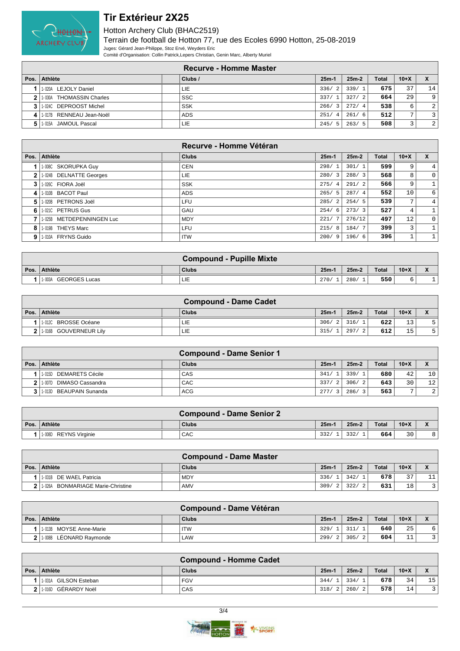

|              |                          | Recurve - Homme Master |                        |         |              |        |    |
|--------------|--------------------------|------------------------|------------------------|---------|--------------|--------|----|
| Pos.         | Athlète                  | Clubs /                | $25m-1$                | $25m-2$ | <b>Total</b> | $10+X$ |    |
|              | LEJOLY Daniel<br>1-020A  | LIE                    | 336/<br>2.1            | 339/1   | 675          | 37     | 14 |
| $\mathbf{2}$ | 1-030A THOMASSIN Charles | <b>SSC</b>             | 337/                   | 327/2   | 664          | 29     | 9  |
|              | 1-024C DEPROOST Michel   | <b>SSK</b>             | 266/                   | 272/4   | 538          | 6      | 2  |
| 4            | 1-017B RENNEAU Jean-Noël | <b>ADS</b>             | 251/<br>$\overline{4}$ | 261/6   | 512          | 7      |    |
| 5            | 1-015A JAMOUL Pascal     | LIE                    | 245/<br>- 5            | 263/5   | 508          | 3      | 2  |

|              |                           | Recurve - Homme Vétéran |                        |         |       |                   |              |
|--------------|---------------------------|-------------------------|------------------------|---------|-------|-------------------|--------------|
| Pos.         | Athlète                   | <b>Clubs</b>            | $25m-1$                | $25m-2$ | Total | $10+X$            | X            |
|              | 1-008C SKORUPKA Guy       | <b>CEN</b>              | 298/                   | 301/1   | 599   | 9                 | 4            |
| $\mathbf{2}$ | 1-024B DELNATTE Georges   | LIE.                    | 280/3                  | 288/3   | 568   | 8                 | 0            |
| 3            | 1-026C FIORA Joël         | <b>SSK</b>              | 275/<br>$\overline{4}$ | 291/2   | 566   | 9                 | $\mathbf{1}$ |
| 4            | 1-010B BACOT Paul         | <b>ADS</b>              | 265/<br>-5             | 287/4   | 552   | 10                | 6            |
| 5            | 1-020B PETRONS Joël       | LFU                     | 285/<br>$\mathcal{L}$  | 254/5   | 539   | 7                 | 4            |
| 6            | 1-021C PETRUS Gus         | GAU                     | 254/<br>-6             | 273/3   | 527   | 4                 | 1            |
|              | 1-025B METDEPENNINGEN Luc | <b>MDY</b>              | 221/                   | 276/12  | 497   | $12 \overline{ }$ | $\mathbf 0$  |
| 8            | 1-019B THEYS Marc         | <b>LFU</b>              | 215/<br>-8             | 184/7   | 399   | 3                 | $\mathbf{1}$ |
| 9            | 1-010A FRYNS Guido        | <b>ITW</b>              | 200/<br>- 9            | 196/6   | 396   | Ŧ                 | 1            |

|      |                                | <b>Compound - Pupille Mixte</b> |         |         |              |        |                                    |
|------|--------------------------------|---------------------------------|---------|---------|--------------|--------|------------------------------------|
| Pos. | Athlète                        | <b>Clubs</b>                    | $25m-1$ | $25m-2$ | <b>Total</b> | $10+X$ | $\mathbf{v}$<br>$\mathbf{\Lambda}$ |
|      | <b>GEORGES Lucas</b><br>1-003A | LIE                             | 270/    | 280/    | 550          |        |                                    |

|      | <b>Compound - Dame Cadet</b> |              |         |         |       |        |  |  |  |  |
|------|------------------------------|--------------|---------|---------|-------|--------|--|--|--|--|
| Pos. | Athlète                      | <b>Clubs</b> | $25m-1$ | $25m-2$ | Total | $10+X$ |  |  |  |  |
|      | 1-012C BROSSE Océane         | LIE          | 306/2   | 316/    | 622   | 13     |  |  |  |  |
|      | 1-016B GOUVERNEUR Lily       | LIE          | 315/    | 297/    | 612   | 15     |  |  |  |  |

|      |                             | <b>Compound - Dame Senior 1</b> |         |             |              |                |                 |
|------|-----------------------------|---------------------------------|---------|-------------|--------------|----------------|-----------------|
| Pos. | Athlète                     | Clubs                           | $25m-1$ | $25m-2$     | <b>Total</b> | $10+X$         |                 |
|      | 1-015D DEMARETS Cécile      | CAS                             | 341/    | 339/        | 680          | 42             | 10 <sup>1</sup> |
|      | 1.0070 DIMASO Cassandra     | CAC                             | 337/    | 306/<br>- 2 | 643          | 30             | 12              |
|      | 3 1 1 013D BEAUPAIN Sunanda | ACG                             | 277/    | 286/        | 563          | $\overline{ }$ | 2 <sup>1</sup>  |

|      | <b>Compound - Dame Senior 2</b> |  |              |         |         |       |        |   |  |  |
|------|---------------------------------|--|--------------|---------|---------|-------|--------|---|--|--|
| Pos. | Athlète                         |  | <b>Clubs</b> | $25m -$ | $25m-2$ | Total | $10+X$ |   |  |  |
|      | 11-008D REYNS Virainie          |  | CAC          | 332.    | 332/    | 664   | 30     | 8 |  |  |

|                                             | <b>Compound - Dame Master</b> |         |                  |              |        |  |
|---------------------------------------------|-------------------------------|---------|------------------|--------------|--------|--|
| Pos. Athlète                                | Clubs                         | $25m -$ | $25m-2$          | <b>Total</b> | $10+X$ |  |
| 1-031B DE WAEL Patricia                     | <b>MDY</b>                    | 336/    | 342/             | 678          | つワ     |  |
| <b>BONMARIAGE Marie-Christine</b><br>1-026A | AMV                           | 309     | 322/<br>$\Omega$ | 631          | 18     |  |

|      |                           | Compound - Dame Vétéran |         |         |              |                    |                                                |
|------|---------------------------|-------------------------|---------|---------|--------------|--------------------|------------------------------------------------|
| Pos. | Athlète                   | <b>Clubs</b>            | $25m-1$ | $25m-2$ | <b>Total</b> | $10+X$             | $\overline{\phantom{a}}$<br>$\mathbf{\Lambda}$ |
|      | 1-013B MOYSE Anne-Marie   | <b>ITW</b>              | 329/    | 311/    | 640          | 25                 |                                                |
|      | 2 1.008B LÉONARD Raymonde | LAW                     | 299/    | 305/    | 604          | $-1$<br><b>. .</b> |                                                |

| <b>Compound - Homme Cadet</b>   |  |            |         |         |       |        |                                    |
|---------------------------------|--|------------|---------|---------|-------|--------|------------------------------------|
| Pos. Athlète                    |  | Clubs      | $25m-1$ | $25m-2$ | Total | $10+X$ | $\mathbf{v}$<br>$\mathbf{\Lambda}$ |
| <b>GILSON Esteban</b><br>1-031A |  | <b>FGV</b> | 344/    | 334/    | 678   | 34     | 15                                 |
| 1.016D GÉRARDY Noël             |  | CAS        | 318/    | 260/    | 578   | 14     | ্য                                 |

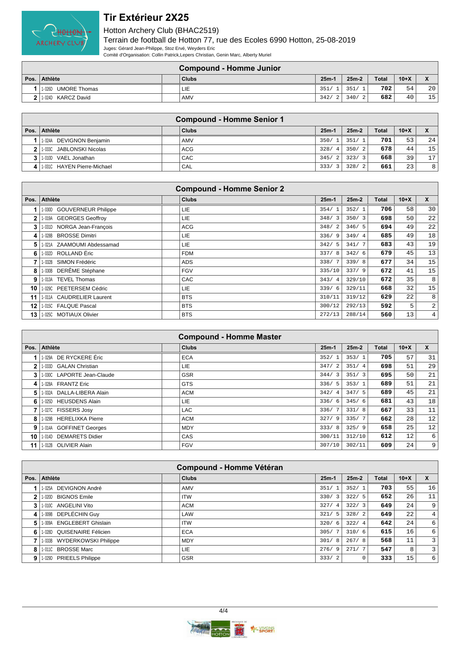

| <b>Compound - Homme Junior</b> |  |              |         |                        |              |        |                 |
|--------------------------------|--|--------------|---------|------------------------|--------------|--------|-----------------|
| Pos. Athlète                   |  | <b>Clubs</b> | $25m -$ | $25m-2$                | <b>Total</b> | $10+X$ |                 |
| UMORE Thomas<br>1-026D         |  | LIE          | 351.    | 351/                   | 702          | 54     | 20              |
| 1.024D KARCZ David             |  | <b>AMV</b>   | 342/    | 340/<br>$\overline{2}$ | 682          | 40     | 15 <sub>1</sub> |

|                | <b>Compound - Homme Senior 1</b> |              |                        |             |              |        |    |  |
|----------------|----------------------------------|--------------|------------------------|-------------|--------------|--------|----|--|
| Pos.           | ∣ Athlète                        | <b>Clubs</b> | $25m-1$                | $25m-2$     | <b>Total</b> | $10+X$ |    |  |
|                | DEVIGNON Benjamin<br>1-024A      | AMV          | 350/                   | 351/1       | 701          | 53     | 24 |  |
| 2 <sup>1</sup> | 11-033C JABLONSKI Nicolas        | ACG          | 328/<br>$\overline{4}$ | 350/<br>- 2 | 678          | 44     | 15 |  |
|                | 1-010D VAEL Jonathan             | CAC          | 345/<br>$\overline{2}$ | 323/3       | 668          | 39     | 17 |  |
|                | 1-0310 HAYEN Pierre-Michael      | CAL          | 333/<br>3              | 328/<br>- 2 | 661          | 23     | 8  |  |

|      |                                       | <b>Compound - Homme Senior 2</b> |                        |         |       |        |                |
|------|---------------------------------------|----------------------------------|------------------------|---------|-------|--------|----------------|
| Pos. | <b>Athlète</b>                        | <b>Clubs</b>                     | $25m-1$                | $25m-2$ | Total | $10+X$ | X              |
|      | <b>GOUVERNEUR Philippe</b><br>1- 030D | LIE                              | 354/<br>$\overline{1}$ | 352/1   | 706   | 58     | 30             |
| 2    | 1-019A GEORGES Geoffroy               | LIE                              | 348/3                  | 350/3   | 698   | 50     | 22             |
| 3    | 1-031D NORGA Jean-Francois            | <b>ACG</b>                       | 348/                   | 346/5   | 694   | 49     | 22             |
| 4    | <b>BROSSE Dimitri</b><br>1- 028B      | LIE.                             | 336/9                  | 349/4   | 685   | 49     | 18             |
| 5    | 1-021A ZAAMOUMI Abdessamad            | LIE                              | 342/5                  | 341/7   | 683   | 43     | 19             |
| 6    | 1-032D ROLLAND Éric                   | <b>FDM</b>                       | 337/8                  | 342/6   | 679   | 45     | 13             |
|      | 1-032B SIMON Frédéric                 | <b>ADS</b>                       | 338/7                  | 339/8   | 677   | 34     | 15             |
| 8    | DERÊME Stéphane<br>1-030B             | <b>FGV</b>                       | 335/10                 | 337/9   | 672   | 41     | 15             |
| 9    | 1-013A TEVEL Thomas                   | CAC                              | 343/<br>$\overline{4}$ | 329/10  | 672   | 35     | 8              |
| 10   | 1-029C PEETERSEM Cédric               | LIE                              | 339/6                  | 329/11  | 668   | 32     | 15             |
| 11   | 1-011A CAUDRELIER Laurent             | <b>BTS</b>                       | 310/11                 | 319/12  | 629   | 22     | 8              |
| 12   | 1-015C FALQUE Pascal                  | <b>BTS</b>                       | 300/12                 | 292/13  | 592   | 5      | $\overline{a}$ |
| 13   | 1-025C MOTIAUX Olivier                | <b>BTS</b>                       | 272/13                 | 288/14  | 560   | 13     | 4              |

|      | <b>Compound - Homme Master</b> |              |         |       |         |              |                 |                  |  |
|------|--------------------------------|--------------|---------|-------|---------|--------------|-----------------|------------------|--|
| Pos. | Athlète                        | <b>Clubs</b> | $25m-1$ |       | $25m-2$ | <b>Total</b> | $10+X$          | $\mathbf{x}$     |  |
|      | 1-029A DE RYCKERE Éric         | <b>ECA</b>   | 352/1   |       | 353/1   | 705          | 57              | 31               |  |
| 2    | 1-033D GALAN Christian         | LIE.         |         | 347/2 | 351/4   | 698          | 51              | 29               |  |
| 3    | 1-030C LAPORTE Jean-Claude     | <b>GSR</b>   |         | 344/3 | 351/3   | 695          | 50              | 21               |  |
| 4    | 1-028A FRANTZ Eric             | <b>GTS</b>   | 336/5   |       | 353/1   | 689          | 51              | 21               |  |
| 5.   | 1-032A DALLA-LIBERA Alain      | <b>ACM</b>   |         | 342/4 | 347/5   | 689          | 45              | 21               |  |
| 6    | 1-025D HEUSDENS Alain          | <b>LIE</b>   | 336/6   |       | 345/6   | 681          | 43              | 18               |  |
|      | 1-027C FISSERS Josy            | <b>LAC</b>   |         | 336/7 | 331/8   | 667          | 33              | 11               |  |
| 8    | 1-029B HERELIXKA Pierre        | <b>ACM</b>   | 327/9   |       | 335/7   | 662          | 28              | 12               |  |
| 9    | 1-014A GOFFINET Georges        | <b>MDY</b>   | 333/8   |       | 325/9   | 658          | 25              | 12               |  |
| 10   | 1-014D DEMARETS Didier         | <b>CAS</b>   | 300/11  |       | 312/10  | 612          | 12 <sup>°</sup> | $6 \overline{6}$ |  |
| 11   | 1-012B OLIVIER Alain           | <b>FGV</b>   | 307/10  |       | 302/11  | 609          | 24              | 9 <sup>°</sup>   |  |

|      | <b>Compound - Homme Vétéran</b>     |              |             |         |              |        |                |  |  |
|------|-------------------------------------|--------------|-------------|---------|--------------|--------|----------------|--|--|
| Pos. | Athlète                             | <b>Clubs</b> | $25m-1$     | $25m-2$ | <b>Total</b> | $10+X$ | X              |  |  |
|      | DEVIGNON André<br>1-025A            | AMV          | 351/        | 352/1   | 703          | 55     | 16             |  |  |
| 2    | 1-020D BIGNOS Emile                 | <b>ITW</b>   | 330/<br>3   | 322/5   | 652          | 26     | 11             |  |  |
| 3    | 1-010C ANGELINI Vito                | <b>ACM</b>   | 327/<br>-4  | 322/3   | 649          | 24     | 9              |  |  |
| 4    | 1-009B DEPLÉCHIN Guy                | LAW          | 321/<br>-5  | 328/2   | 649          | 22     | $\overline{4}$ |  |  |
| 5    | <b>ENGLEBERT Ghislain</b><br>1-009A | <b>ITW</b>   | 320/<br>-6  | 322/4   | 642          | 24     | 6              |  |  |
| 6    | 1-028D QUISENAIRE Félicien          | <b>ECA</b>   | 305/        | 310/6   | 615          | 16     | 6              |  |  |
|      | 1-033B WYDERKOWSKI Philippe         | <b>MDY</b>   | 301/<br>8   | 267/8   | 568          | 11     | 3              |  |  |
| 8    | 1-0110 BROSSE Marc                  | LIE          | 276/<br>- 9 | 271/7   | 547          | 8      | 3              |  |  |
| 9    | 1-029D PRIEELS Philippe             | <b>GSR</b>   | 333/2       |         | 333          | 15     | 6              |  |  |